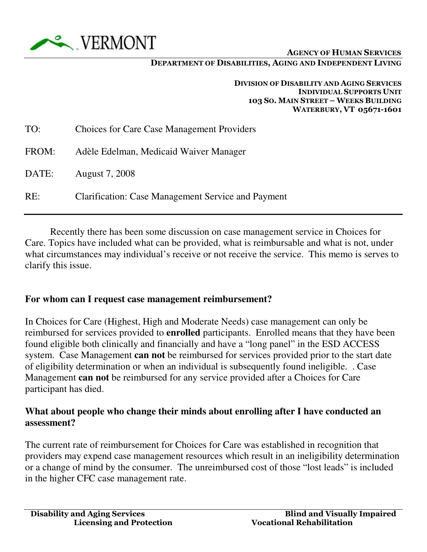

#### DEPARTMENT OF DISABILITIES, AGING AND INDEPENDENT LIVING

#### DIVISION OF DISABILITY AND AGING SERVICES INDIVIDUAL SUPPORTS UNIT 103 SO. MAIN STREET – WEEKS BUILDING WATERBURY, VT 05671-1601

| TO:   | <b>Choices for Care Case Management Providers</b>  |
|-------|----------------------------------------------------|
| FROM: | Adèle Edelman, Medicaid Waiver Manager             |
| DATE: | <b>August 7, 2008</b>                              |
| RE:   | Clarification: Case Management Service and Payment |

 Recently there has been some discussion on case management service in Choices for Care. Topics have included what can be provided, what is reimbursable and what is not, under what circumstances may individual's receive or not receive the service. This memo is serves to clarify this issue.

#### **For whom can I request case management reimbursement?**

In Choices for Care (Highest, High and Moderate Needs) case management can only be reimbursed for services provided to **enrolled** participants. Enrolled means that they have been found eligible both clinically and financially and have a "long panel" in the ESD ACCESS system. Case Management **can not** be reimbursed for services provided prior to the start date of eligibility determination or when an individual is subsequently found ineligible. . Case Management **can not** be reimbursed for any service provided after a Choices for Care participant has died.

### **What about people who change their minds about enrolling after I have conducted an assessment?**

The current rate of reimbursement for Choices for Care was established in recognition that providers may expend case management resources which result in an ineligibility determination or a change of mind by the consumer. The unreimbursed cost of those "lost leads" is included in the higher CFC case management rate.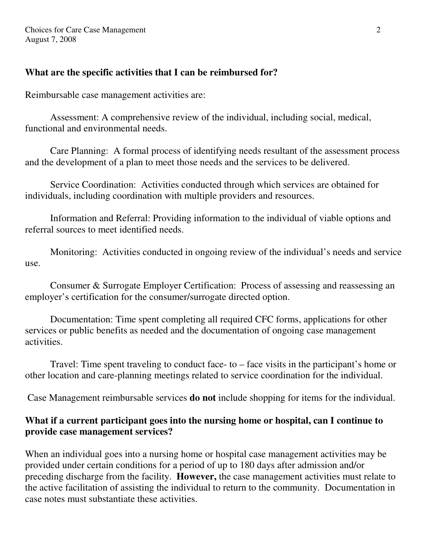### **What are the specific activities that I can be reimbursed for?**

Reimbursable case management activities are:

 Assessment: A comprehensive review of the individual, including social, medical, functional and environmental needs.

 Care Planning: A formal process of identifying needs resultant of the assessment process and the development of a plan to meet those needs and the services to be delivered.

 Service Coordination: Activities conducted through which services are obtained for individuals, including coordination with multiple providers and resources.

 Information and Referral: Providing information to the individual of viable options and referral sources to meet identified needs.

 Monitoring: Activities conducted in ongoing review of the individual's needs and service use.

 Consumer & Surrogate Employer Certification: Process of assessing and reassessing an employer's certification for the consumer/surrogate directed option.

 Documentation: Time spent completing all required CFC forms, applications for other services or public benefits as needed and the documentation of ongoing case management activities.

 Travel: Time spent traveling to conduct face- to – face visits in the participant's home or other location and care-planning meetings related to service coordination for the individual.

Case Management reimbursable services **do not** include shopping for items for the individual.

# **What if a current participant goes into the nursing home or hospital, can I continue to provide case management services?**

When an individual goes into a nursing home or hospital case management activities may be provided under certain conditions for a period of up to 180 days after admission and/or preceding discharge from the facility. **However,** the case management activities must relate to the active facilitation of assisting the individual to return to the community. Documentation in case notes must substantiate these activities.